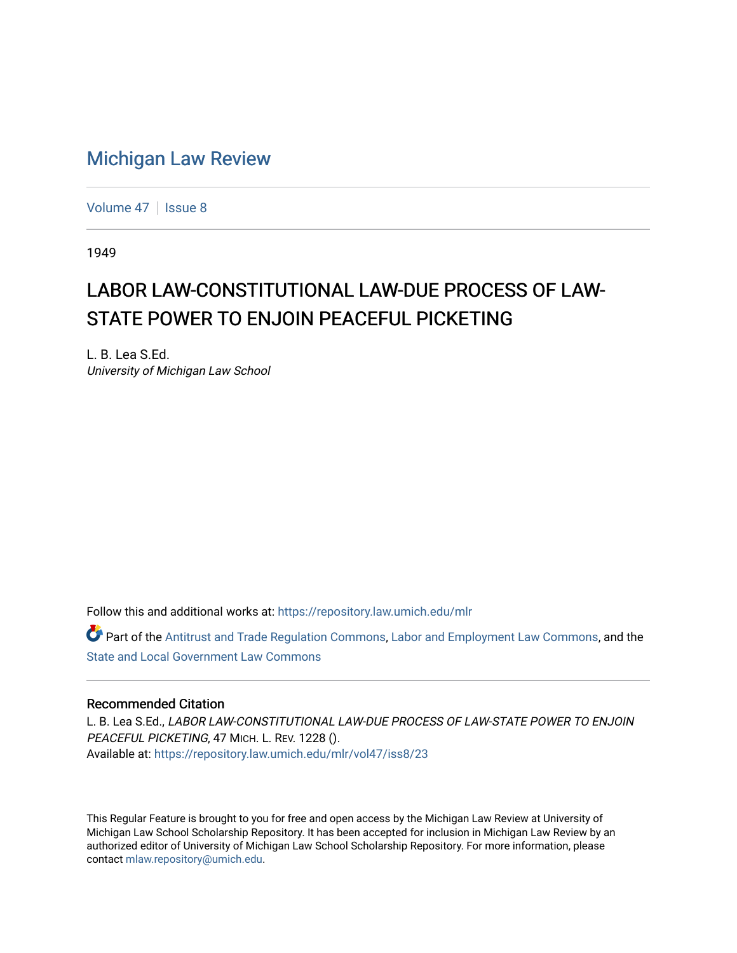## [Michigan Law Review](https://repository.law.umich.edu/mlr)

[Volume 47](https://repository.law.umich.edu/mlr/vol47) | [Issue 8](https://repository.law.umich.edu/mlr/vol47/iss8)

1949

## LABOR LAW-CONSTITUTIONAL LAW-DUE PROCESS OF LAW-STATE POWER TO ENJOIN PEACEFUL PICKETING

L. B. Lea S.Ed. University of Michigan Law School

Follow this and additional works at: [https://repository.law.umich.edu/mlr](https://repository.law.umich.edu/mlr?utm_source=repository.law.umich.edu%2Fmlr%2Fvol47%2Fiss8%2F23&utm_medium=PDF&utm_campaign=PDFCoverPages) 

Part of the [Antitrust and Trade Regulation Commons,](http://network.bepress.com/hgg/discipline/911?utm_source=repository.law.umich.edu%2Fmlr%2Fvol47%2Fiss8%2F23&utm_medium=PDF&utm_campaign=PDFCoverPages) [Labor and Employment Law Commons](http://network.bepress.com/hgg/discipline/909?utm_source=repository.law.umich.edu%2Fmlr%2Fvol47%2Fiss8%2F23&utm_medium=PDF&utm_campaign=PDFCoverPages), and the [State and Local Government Law Commons](http://network.bepress.com/hgg/discipline/879?utm_source=repository.law.umich.edu%2Fmlr%2Fvol47%2Fiss8%2F23&utm_medium=PDF&utm_campaign=PDFCoverPages) 

## Recommended Citation

L. B. Lea S.Ed., LABOR LAW-CONSTITUTIONAL LAW-DUE PROCESS OF LAW-STATE POWER TO ENJOIN PEACEFUL PICKETING, 47 MICH. L. REV. 1228 (). Available at: [https://repository.law.umich.edu/mlr/vol47/iss8/23](https://repository.law.umich.edu/mlr/vol47/iss8/23?utm_source=repository.law.umich.edu%2Fmlr%2Fvol47%2Fiss8%2F23&utm_medium=PDF&utm_campaign=PDFCoverPages) 

This Regular Feature is brought to you for free and open access by the Michigan Law Review at University of Michigan Law School Scholarship Repository. It has been accepted for inclusion in Michigan Law Review by an authorized editor of University of Michigan Law School Scholarship Repository. For more information, please contact [mlaw.repository@umich.edu](mailto:mlaw.repository@umich.edu).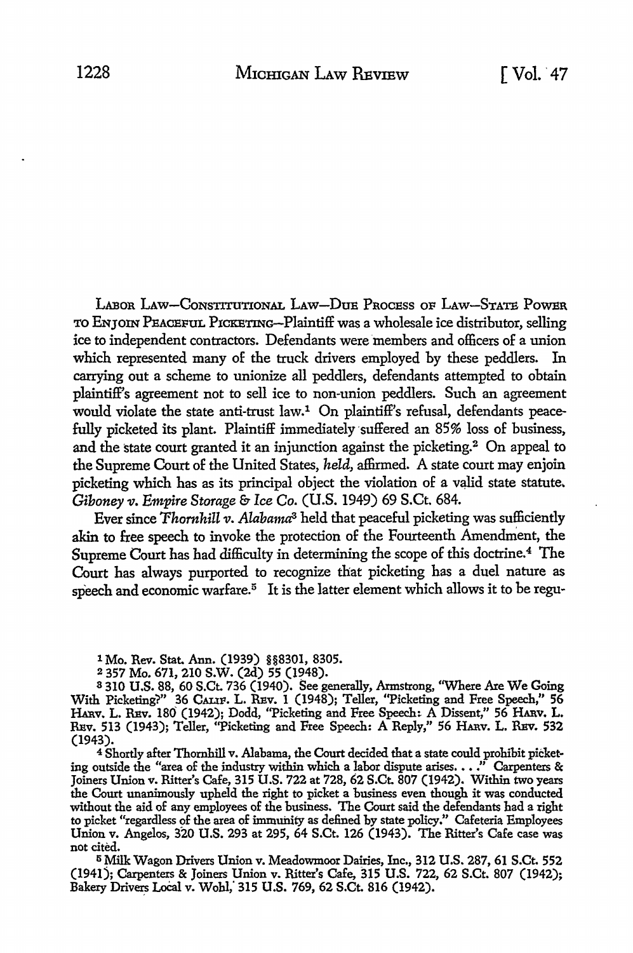LABOR LAW-CONSTITUTIONAL LAW-DUE PROCESS OF LAW-STATE POWER TO ENJOIN PEACEFUL PICKETING--Plaintiff was a wholesale ice distributor, selling ice to independent contractors. Defendants were members and officers of a union which represented many of the truck drivers employed by these peddlers. In carrying out a scheme to unionize all peddlers, defendants attempted to obtain plaintiff's agreement not to sell ice to non-union peddlers. Such an agreement would violate the state anti-trust law.1 On plaintiff's refusal, defendants peacefully picketed its plant. Plaintiff immediately suffered an 85% loss of business, and the state court granted it an injunction against the picketing.2 On appeal to the Supreme Court of the United States, *held,* affirmed. A state court may enjoin picketing which has as its principal object the violation of a valid state statute. *Giboney v. Empire Storage & Ice Co.* (U.S. 1949) 69 S.Ct. 684.

Ever since *Thornhill v. Alabama*<sup>3</sup> held that peaceful picketing was sufficiently akin to free speech to invoke the protection of the Fourteenth Amendment, the Supreme Court has had difficulty in determining the scope of this doctrine.<sup>4</sup> The Court has always purported to recognize that picketing has a duel nature as speech and economic warfare.<sup> $5$ </sup> It is the latter element which allows it to be regu-

1 Mo. Rev. Stat. Ann. (1939) §§8301, 8305.<br>2 357 Mo. 671, 210 S.W. (2d) 55 (1948).

<sup>2</sup> 357 Mo. 671, 210 S.W. (2d) 55 (1948).<br><sup>8</sup> 310 U.S. 88, 60 S.Ct. 736 (1940). See generally, Armstrong, ''Where Are We Going With Picketing'?" 36 CALIF, L. RBv. I (1948); Teller, ''Picketing and Free Speech," **56**  Harv. L. REv. 180 (1942); Dodd, "Picketing and Free Speech: A Dissent," 56 Harv. L. REv. 513 (1943); Teller, ''Picketing and Free Speech: A Reply," 56 HARv. L. REv. 532 (1943).

<sup>4</sup> Shortly after Thornhill v. Alabama, the Court decided that a state could prohibit picketing outside the "area of the industry within which a labor dispute arises.  $\ldots$ ." Carpenters & Joiners Union v. Ritter's Cafe, 315 U.S. 722 at 728, 62 S.Ct. 807 (1942). Within two years the Court unanimously upheld the right to picket a business even though it was conducted without the aid of any employees o£ the business. The Court said the defendants had a right to picket "regardless of the area of immunity as defined by state policy." Cafeteria Employees Union v. Angelos, 320 U.S. 293 at 295, 64 S.Ct. 126 (1943). The Ritter's Cafe case was not cited.

<sup>5</sup> Milk Wagon Drivers Union v. Meadowmoor Dairies, Inc., 312 U.S. 287, 61 S.Ct. 552 (1941); Carpenters & Joiners Union v. Ritter's Cafe, 315 U.S. 722, 62 S.Ct. 807 (1942); Bakery Drivers Local v. Wohl, 315 U.S. 769, 62 S.Ct. 816 (1942).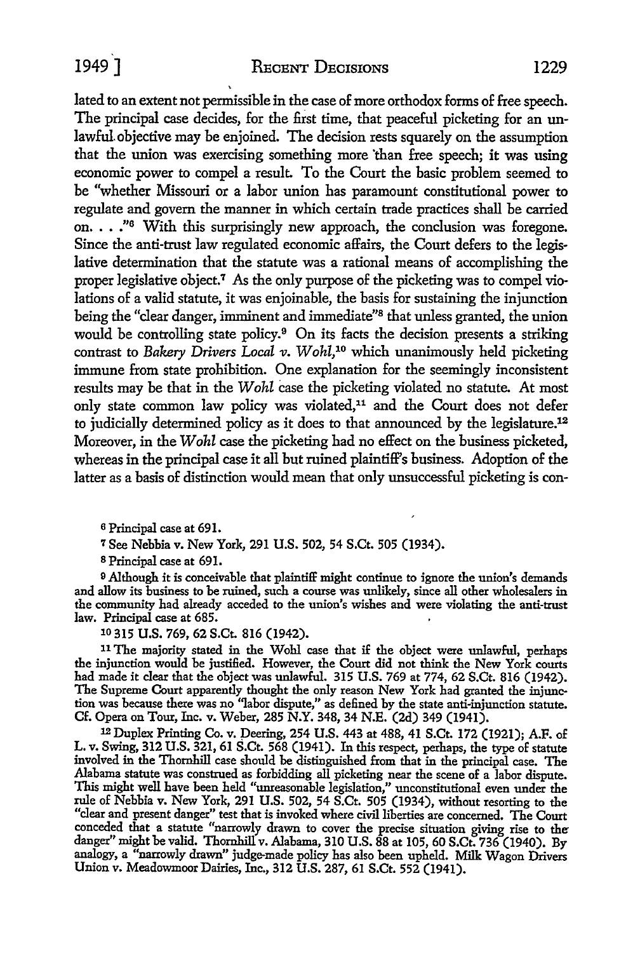1949<sup>]</sup> RECENT DECISIONS 1229

lated to an extent not permissible in the case of more orthodox forms of free speech. The principal case decides, for the first time, that peaceful picketing for an unlawful. objective may be enjoined. The decision rests squarely on the assumption that the union was exercising something more 'than free speech; it was using economic power to compel a result. To the Court the basic problem seemed to be "whether Missouri or a labor union has paramount constitutional power to regulate and govern the manner in which certain trade practices shall be carried on.  $\ldots$ ."<sup>6</sup> With this surprisingly new approach, the conclusion was foregone. Since the anti-trust law regulated economic affairs, the Court defers to the legislative determination that the statute was a rational means of accomplishing the proper legislative object.<sup>7</sup> As the only purpose of the picketing was to compel violations of a valid statute, it was enjoinable, the basis for sustaining the injunction being the "clear danger, imminent and immediate"8 that unless granted, the union would be controlling state policy.<sup>9</sup> On its facts the decision presents a striking contrast to *Bakery Drivers Local v. Wohl,* 10 which unanimously held picketing immune from state prohibition. One explanation for the seemingly inconsistent results may be that in the *Wohl* case the picketing violated no statute. *At* most only state common law policy was violated,<sup>11</sup> and the Court does not defer to judicially determined policy as it does to that announced by the legislature.12 Moreover, in the *Wohl* case the picketing had no effect on the business picketed, whereas in the principal case it all but ruined plaintiff's business. Adoption of the latter as a basis of distinction would mean that only unsuccessful picketing is con-

<sup>6</sup>Principal case at 691.

*1* See Nebbia v. New York, 291 U.S. 502, 54 S.Ct. 505 (1934).

s Principal case at 691.

<sup>9</sup> Although it is conceivable that plaintiff might continue to ignore the union's demands and allow its business to be ruined, such a course was unlikely, since all other wholesalers in the community had already acceded to the union's wishes and were violating the anti-trust law. Principal case at 685.

10 315 U.S. 769, 62 S.Ct. 816 (1942).

<sup>11</sup>The majority stated in the Wohl case that i£ the object were unlawful, perhaps the injunction would be justified. However, the Court did not think the New York courts had made it clear that the object was unlawful. 315 U.S. 769 at 774, 62 S.Ct. 816 (1942). The Supreme Court apparently thought the only reason New York had granted the injunction was because there was no ''labor dispute," as defined by the state anti-injunction statute. Cf. Opera on Tour, Inc. v. Weber, 285 N.Y. 348, 34 N.E. (2d) 349 (1941).

<sup>12</sup>Duplex Printing Co. v. peering, 254 U.S. 443 at 488, 41 S.Ct. 172 (1921); A.F. of L. v. Swing, 312 U.S. 321, 61 S.Ct. 568 (1941). In this respect, perhaps, the type of statute involved in the Thornhill case should be distinguished from that in the principal case. The Alabama statute was construed as forbidding all picketing near the scene of a labor dispute. This might well have been held "unreasonable legislation," unconstitutional even under the rule of Nebbia v. New York, 291 U.S. 502, 54 S.Ct. 505 (1934), without resorting to the "clear and present danger" test that is invoked where civil liberties are concerned. The Court conceded that a statute "narrowly drawn to cover the precise situation giving rise to thedanger" might be valid. Thornhill v. Alabama, 310 U.S. 88 at 105, 60 S.Ct. 736 (1940). By analogy, a "narrowly drawn" judge-made policy has also been upheld. Milk Wagon Drivers Union v. Meadowmoor Dairies, Inc., 312 U.S. 287, 61 S.Ct. 552 (1941).